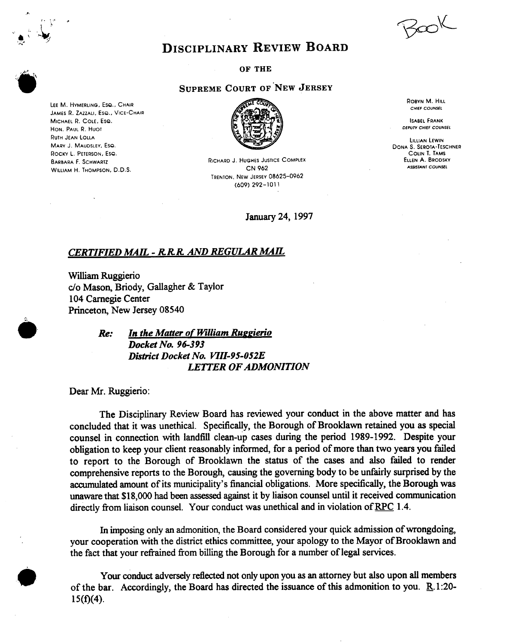$30K$ 

## **DISCIPLINARY REVIEW BOARD**

**OF THE** 

## **SUPREME COURT OF'NEW JERSEY**

**RICHARD J. HUGHES JUSTICE COMPLEX CN** *962*  **TRENTON. NEW JERSEV 08625-0962 (609) 292-101 1** 

January24, 1997

**ROBVN M. HILL**  *CHIEF COUNSEL* 

**ISABEL FRANK**  *DEPUW CHIEF COUNSEL* 

**LILLIAN LEWIN DONA S. SEROTA-TESCHNER COLIN 1. TAMS ELLEN A. BRODSKV ASSISTANT COUNSEL** 

## *CERTIFIED MAE* - *R R R AND REGULAR MAE*

**William** Ruggierio *c/o* Mason, Briody, Gallagher & Taylor 104 Carnegie Center Princeton, New Jersey 08540

**h** 

*Re: In the Matter of William Ruapierio Docket No. 96-3 93 District Docket NO. KTII-95-052E LETTER OF ADMONITlON* 

Dear Mr. Ruggierio:

**LEE M. HVMERLING, EsQ.. CHAIR**  JAMES R. ZAZZALI, Eso., VICE-CHAIR

**MICHAEL R. COLE. ESQ. HON. PAUL R. HUOT RUTH JEAN LOLLA MARV J. MAUDSLEV. ESQ. ROCKY L. PETERSON, Ese. BARBARA F. SCHWARTZ WILLIAM H. THOMPSON,** D.D.S.

> The Disciplinary Review Board has reviewed your conduct in the above matter and has concluded that it was unethical. Specifically, the Borough of Brooklawn retained you **as** special counsel in connection with landfill clean-up cases during the period 1989-1992. Despite your obligation to keep your client reasonably informed, for a period of more than two years you failed to report to the Borough of Brooklawn the status of the cases and also failed to render comprehensive reports to the Borough, causing the governing body to be unfairly surprised by the **accumulated** amount of its municipality's financial obligations. More specifically, the Borough was unaware that \$18,000 had been **assessed** against it by liaison counsel until it received communication directly from liaison counsel. Your conduct was unethical and in violation of RPC 1.4.

> **In** imposing **only an** admonition, the Board considered your quick admission of wrongdoing, your cooperation with the district ethics committee, your apology to the Mayor of Brooklawn and the fact that your refrained from billing the Borough for a number of legal services.

> **Your** conduct adversely reflected not only upon you **as an** attorney but also upon all members of the bar. Accordingly, the Board has directed the issuance of this admonition to you.  $\underline{R}$ .1:20- $15(f)(4)$ .